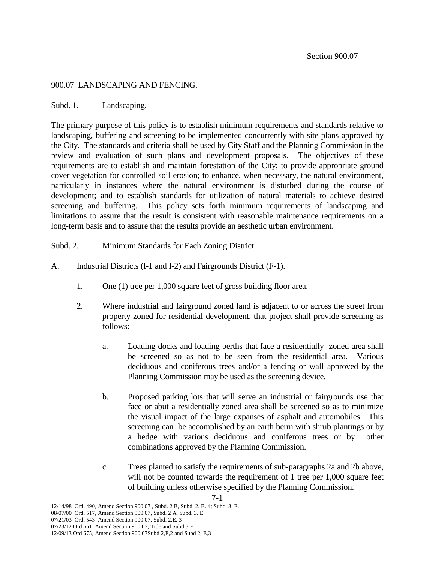### 900.07 LANDSCAPING AND FENCING.

### Subd. 1. Landscaping.

The primary purpose of this policy is to establish minimum requirements and standards relative to landscaping, buffering and screening to be implemented concurrently with site plans approved by the City. The standards and criteria shall be used by City Staff and the Planning Commission in the review and evaluation of such plans and development proposals. The objectives of these requirements are to establish and maintain forestation of the City; to provide appropriate ground cover vegetation for controlled soil erosion; to enhance, when necessary, the natural environment, particularly in instances where the natural environment is disturbed during the course of development; and to establish standards for utilization of natural materials to achieve desired screening and buffering. This policy sets forth minimum requirements of landscaping and limitations to assure that the result is consistent with reasonable maintenance requirements on a long-term basis and to assure that the results provide an aesthetic urban environment.

Subd. 2. Minimum Standards for Each Zoning District.

- A. Industrial Districts (I-1 and I-2) and Fairgrounds District (F-1).
	- 1. One (1) tree per 1,000 square feet of gross building floor area.
	- 2. Where industrial and fairground zoned land is adjacent to or across the street from property zoned for residential development, that project shall provide screening as follows:
		- a. Loading docks and loading berths that face a residentially zoned area shall be screened so as not to be seen from the residential area. Various deciduous and coniferous trees and/or a fencing or wall approved by the Planning Commission may be used as the screening device.
		- b. Proposed parking lots that will serve an industrial or fairgrounds use that face or abut a residentially zoned area shall be screened so as to minimize the visual impact of the large expanses of asphalt and automobiles. This screening can be accomplished by an earth berm with shrub plantings or by a hedge with various deciduous and coniferous trees or by other combinations approved by the Planning Commission.
		- c. Trees planted to satisfy the requirements of sub-paragraphs 2a and 2b above, will not be counted towards the requirement of 1 tree per 1,000 square feet of building unless otherwise specified by the Planning Commission.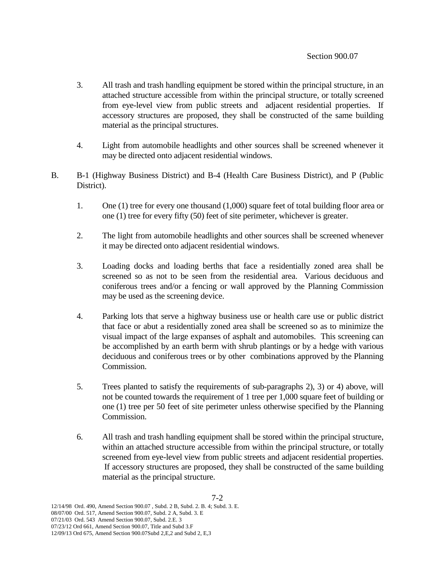- 3. All trash and trash handling equipment be stored within the principal structure, in an attached structure accessible from within the principal structure, or totally screened from eye-level view from public streets and adjacent residential properties. If accessory structures are proposed, they shall be constructed of the same building material as the principal structures.
- 4. Light from automobile headlights and other sources shall be screened whenever it may be directed onto adjacent residential windows.
- B. B-1 (Highway Business District) and B-4 (Health Care Business District), and P (Public District).
	- 1. One (1) tree for every one thousand (1,000) square feet of total building floor area or one (1) tree for every fifty (50) feet of site perimeter, whichever is greater.
	- 2. The light from automobile headlights and other sources shall be screened whenever it may be directed onto adjacent residential windows.
	- 3. Loading docks and loading berths that face a residentially zoned area shall be screened so as not to be seen from the residential area. Various deciduous and coniferous trees and/or a fencing or wall approved by the Planning Commission may be used as the screening device.
	- 4. Parking lots that serve a highway business use or health care use or public district that face or abut a residentially zoned area shall be screened so as to minimize the visual impact of the large expanses of asphalt and automobiles. This screening can be accomplished by an earth berm with shrub plantings or by a hedge with various deciduous and coniferous trees or by other combinations approved by the Planning Commission.
	- 5. Trees planted to satisfy the requirements of sub-paragraphs 2), 3) or 4) above, will not be counted towards the requirement of 1 tree per 1,000 square feet of building or one (1) tree per 50 feet of site perimeter unless otherwise specified by the Planning Commission.
	- 6. All trash and trash handling equipment shall be stored within the principal structure, within an attached structure accessible from within the principal structure, or totally screened from eye-level view from public streets and adjacent residential properties. If accessory structures are proposed, they shall be constructed of the same building material as the principal structure.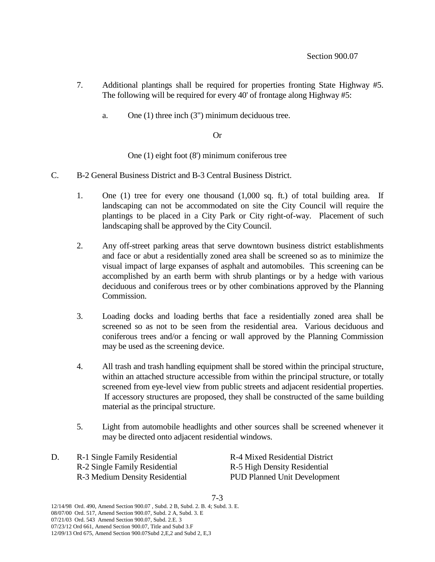- 7. Additional plantings shall be required for properties fronting State Highway #5. The following will be required for every 40' of frontage along Highway #5:
	- a. One (1) three inch (3") minimum deciduous tree.

## Or

One (1) eight foot (8') minimum coniferous tree

- C. B-2 General Business District and B-3 Central Business District.
	- 1. One (1) tree for every one thousand (1,000 sq. ft.) of total building area. If landscaping can not be accommodated on site the City Council will require the plantings to be placed in a City Park or City right-of-way. Placement of such landscaping shall be approved by the City Council.
	- 2. Any off-street parking areas that serve downtown business district establishments and face or abut a residentially zoned area shall be screened so as to minimize the visual impact of large expanses of asphalt and automobiles. This screening can be accomplished by an earth berm with shrub plantings or by a hedge with various deciduous and coniferous trees or by other combinations approved by the Planning Commission.
	- 3. Loading docks and loading berths that face a residentially zoned area shall be screened so as not to be seen from the residential area. Various deciduous and coniferous trees and/or a fencing or wall approved by the Planning Commission may be used as the screening device.
	- 4. All trash and trash handling equipment shall be stored within the principal structure, within an attached structure accessible from within the principal structure, or totally screened from eye-level view from public streets and adjacent residential properties. If accessory structures are proposed, they shall be constructed of the same building material as the principal structure.
	- 5. Light from automobile headlights and other sources shall be screened whenever it may be directed onto adjacent residential windows.
- D. R-1 Single Family Residential R-4 Mixed Residential District R-2 Single Family Residential R-5 High Density Residential R-3 Medium Density Residential PUD Planned Unit Development

7-3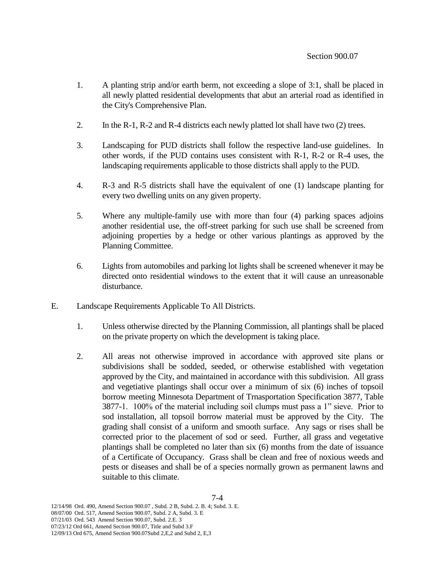- 1. A planting strip and/or earth berm, not exceeding a slope of 3:1, shall be placed in all newly platted residential developments that abut an arterial road as identified in the City's Comprehensive Plan.
- 2. In the R-1, R-2 and R-4 districts each newly platted lot shall have two (2) trees.
- 3. Landscaping for PUD districts shall follow the respective land-use guidelines. In other words, if the PUD contains uses consistent with R-1, R-2 or R-4 uses, the landscaping requirements applicable to those districts shall apply to the PUD.
- 4. R-3 and R-5 districts shall have the equivalent of one (1) landscape planting for every two dwelling units on any given property.
- 5. Where any multiple-family use with more than four (4) parking spaces adjoins another residential use, the off-street parking for such use shall be screened from adjoining properties by a hedge or other various plantings as approved by the Planning Committee.
- 6. Lights from automobiles and parking lot lights shall be screened whenever it may be directed onto residential windows to the extent that it will cause an unreasonable disturbance.
- E. Landscape Requirements Applicable To All Districts.
	- 1. Unless otherwise directed by the Planning Commission, all plantings shall be placed on the private property on which the development is taking place.
	- 2. All areas not otherwise improved in accordance with approved site plans or subdivisions shall be sodded, seeded, or otherwise established with vegetation approved by the City, and maintained in accordance with this subdivision. All grass and vegetiative plantings shall occur over a minimum of six (6) inches of topsoil borrow meeting Minnesota Department of Trnasportation Specification 3877, Table 3877-1. 100% of the material including soil clumps must pass a 1" sieve. Prior to sod installation, all topsoil borrow material must be approved by the City. The grading shall consist of a uniform and smooth surface. Any sags or rises shall be corrected prior to the placement of sod or seed. Further, all grass and vegetative plantings shall be completed no later than six (6) months from the date of issuance of a Certificate of Occupancy. Grass shall be clean and free of noxious weeds and pests or diseases and shall be of a species normally grown as permanent lawns and suitable to this climate.

<sup>12/14/98</sup> Ord. 490, Amend Section 900.07 , Subd. 2 B, Subd. 2. B. 4; Subd. 3. E.

<sup>08/07/00</sup> Ord. 517, Amend Section 900.07, Subd. 2 A, Subd. 3. E

<sup>07/21/03</sup> Ord. 543 Amend Section 900.07, Subd. 2.E. 3

<sup>07/23/12</sup> Ord 661, Amend Section 900.07, Title and Subd 3.F

<sup>12/09/13</sup> Ord 675, Amend Section 900.07Subd 2,E,2 and Subd 2, E,3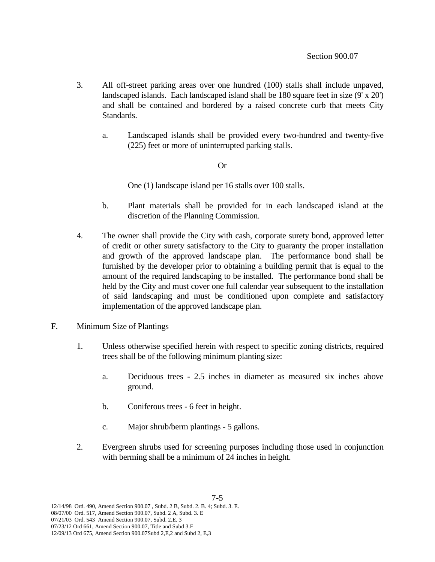- 3. All off-street parking areas over one hundred (100) stalls shall include unpaved, landscaped islands. Each landscaped island shall be 180 square feet in size (9' x 20') and shall be contained and bordered by a raised concrete curb that meets City Standards.
	- a. Landscaped islands shall be provided every two-hundred and twenty-five (225) feet or more of uninterrupted parking stalls.

# Or

One (1) landscape island per 16 stalls over 100 stalls.

- b. Plant materials shall be provided for in each landscaped island at the discretion of the Planning Commission.
- 4. The owner shall provide the City with cash, corporate surety bond, approved letter of credit or other surety satisfactory to the City to guaranty the proper installation and growth of the approved landscape plan. The performance bond shall be furnished by the developer prior to obtaining a building permit that is equal to the amount of the required landscaping to be installed. The performance bond shall be held by the City and must cover one full calendar year subsequent to the installation of said landscaping and must be conditioned upon complete and satisfactory implementation of the approved landscape plan.
- F. Minimum Size of Plantings
	- 1. Unless otherwise specified herein with respect to specific zoning districts, required trees shall be of the following minimum planting size:
		- a. Deciduous trees 2.5 inches in diameter as measured six inches above ground.
		- b. Coniferous trees 6 feet in height.
		- c. Major shrub/berm plantings 5 gallons.
	- 2. Evergreen shrubs used for screening purposes including those used in conjunction with berming shall be a minimum of 24 inches in height.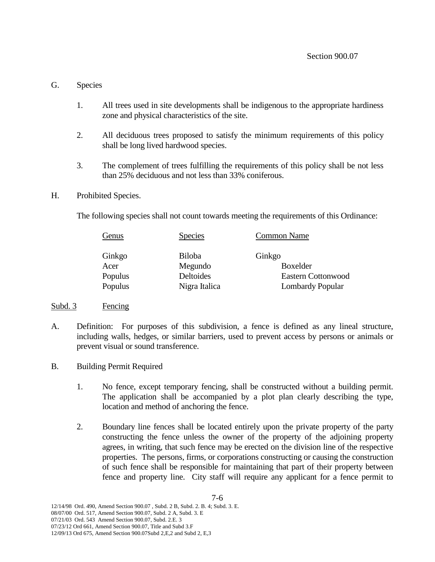# G. Species

- 1. All trees used in site developments shall be indigenous to the appropriate hardiness zone and physical characteristics of the site.
- 2. All deciduous trees proposed to satisfy the minimum requirements of this policy shall be long lived hardwood species.
- 3. The complement of trees fulfilling the requirements of this policy shall be not less than 25% deciduous and not less than 33% coniferous.

## H. Prohibited Species.

The following species shall not count towards meeting the requirements of this Ordinance:

| Genus   | <b>Species</b> | <b>Common Name</b>        |
|---------|----------------|---------------------------|
| Ginkgo  | <b>Biloba</b>  | Ginkgo                    |
| Acer    | Megundo        | Boxelder                  |
| Populus | Deltoides      | <b>Eastern Cottonwood</b> |
| Populus | Nigra Italica  | <b>Lombardy Popular</b>   |

## Subd. 3 Fencing

- A. Definition: For purposes of this subdivision, a fence is defined as any lineal structure, including walls, hedges, or similar barriers, used to prevent access by persons or animals or prevent visual or sound transference.
- B. Building Permit Required
	- 1. No fence, except temporary fencing, shall be constructed without a building permit. The application shall be accompanied by a plot plan clearly describing the type, location and method of anchoring the fence.
	- 2. Boundary line fences shall be located entirely upon the private property of the party constructing the fence unless the owner of the property of the adjoining property agrees, in writing, that such fence may be erected on the division line of the respective properties. The persons, firms, or corporations constructing or causing the construction of such fence shall be responsible for maintaining that part of their property between fence and property line. City staff will require any applicant for a fence permit to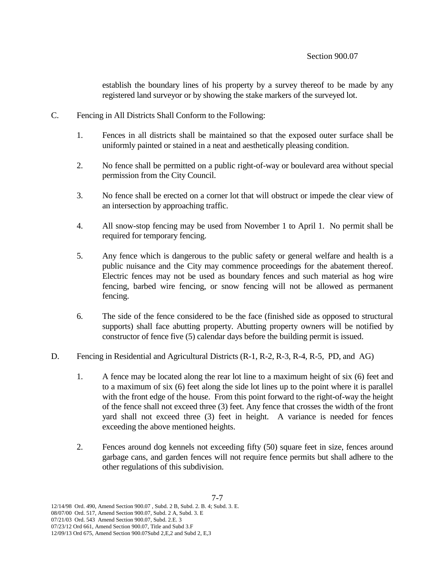establish the boundary lines of his property by a survey thereof to be made by any registered land surveyor or by showing the stake markers of the surveyed lot.

- C. Fencing in All Districts Shall Conform to the Following:
	- 1. Fences in all districts shall be maintained so that the exposed outer surface shall be uniformly painted or stained in a neat and aesthetically pleasing condition.
	- 2. No fence shall be permitted on a public right-of-way or boulevard area without special permission from the City Council.
	- 3. No fence shall be erected on a corner lot that will obstruct or impede the clear view of an intersection by approaching traffic.
	- 4. All snow-stop fencing may be used from November 1 to April 1. No permit shall be required for temporary fencing.
	- 5. Any fence which is dangerous to the public safety or general welfare and health is a public nuisance and the City may commence proceedings for the abatement thereof. Electric fences may not be used as boundary fences and such material as hog wire fencing, barbed wire fencing, or snow fencing will not be allowed as permanent fencing.
	- 6. The side of the fence considered to be the face (finished side as opposed to structural supports) shall face abutting property. Abutting property owners will be notified by constructor of fence five (5) calendar days before the building permit is issued.
- D. Fencing in Residential and Agricultural Districts (R-1, R-2, R-3, R-4, R-5, PD, and AG)
	- 1. A fence may be located along the rear lot line to a maximum height of six (6) feet and to a maximum of six (6) feet along the side lot lines up to the point where it is parallel with the front edge of the house. From this point forward to the right-of-way the height of the fence shall not exceed three (3) feet. Any fence that crosses the width of the front yard shall not exceed three (3) feet in height. A variance is needed for fences exceeding the above mentioned heights.
	- 2. Fences around dog kennels not exceeding fifty (50) square feet in size, fences around garbage cans, and garden fences will not require fence permits but shall adhere to the other regulations of this subdivision.